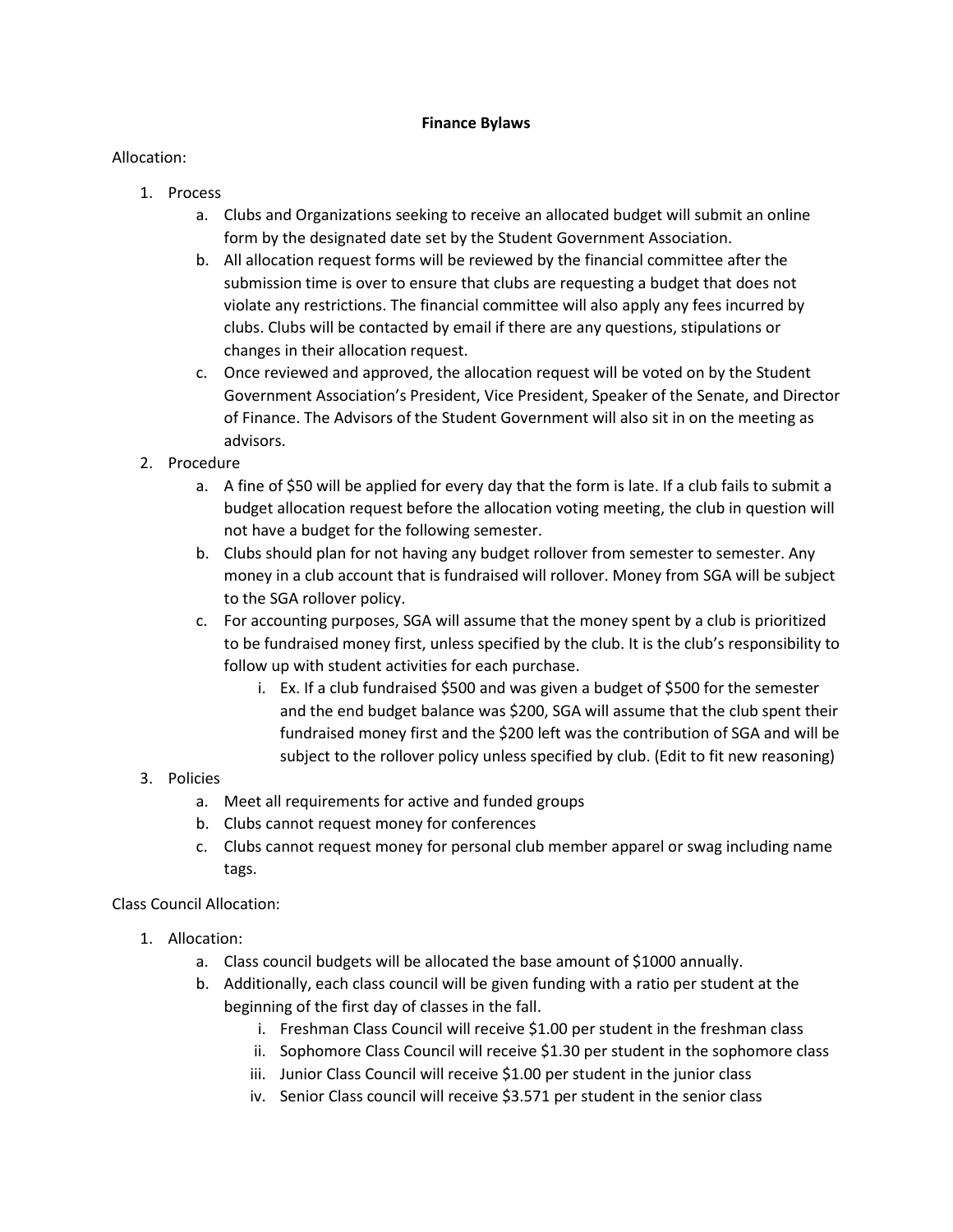## **Finance Bylaws**

## Allocation:

- 1. Process
	- a. Clubs and Organizations seeking to receive an allocated budget will submit an online form by the designated date set by the Student Government Association.
	- b. All allocation request forms will be reviewed by the financial committee after the submission time is over to ensure that clubs are requesting a budget that does not violate any restrictions. The financial committee will also apply any fees incurred by clubs. Clubs will be contacted by email if there are any questions, stipulations or changes in their allocation request.
	- c. Once reviewed and approved, the allocation request will be voted on by the Student Government Association's President, Vice President, Speaker of the Senate, and Director of Finance. The Advisors of the Student Government will also sit in on the meeting as advisors.
- 2. Procedure
	- a. A fine of \$50 will be applied for every day that the form is late. If a club fails to submit a budget allocation request before the allocation voting meeting, the club in question will not have a budget for the following semester.
	- b. Clubs should plan for not having any budget rollover from semester to semester. Any money in a club account that is fundraised will rollover. Money from SGA will be subject to the SGA rollover policy.
	- c. For accounting purposes, SGA will assume that the money spent by a club is prioritized to be fundraised money first, unless specified by the club. It is the club's responsibility to follow up with student activities for each purchase.
		- i. Ex. If a club fundraised \$500 and was given a budget of \$500 for the semester and the end budget balance was \$200, SGA will assume that the club spent their fundraised money first and the \$200 left was the contribution of SGA and will be subject to the rollover policy unless specified by club. (Edit to fit new reasoning)

## 3. Policies

- a. Meet all requirements for active and funded groups
- b. Clubs cannot request money for conferences
- c. Clubs cannot request money for personal club member apparel or swag including name tags.

Class Council Allocation:

- 1. Allocation:
	- a. Class council budgets will be allocated the base amount of \$1000 annually.
	- b. Additionally, each class council will be given funding with a ratio per student at the beginning of the first day of classes in the fall.
		- i. Freshman Class Council will receive \$1.00 per student in the freshman class
		- ii. Sophomore Class Council will receive \$1.30 per student in the sophomore class
		- iii. Junior Class Council will receive \$1.00 per student in the junior class
		- iv. Senior Class council will receive \$3.571 per student in the senior class